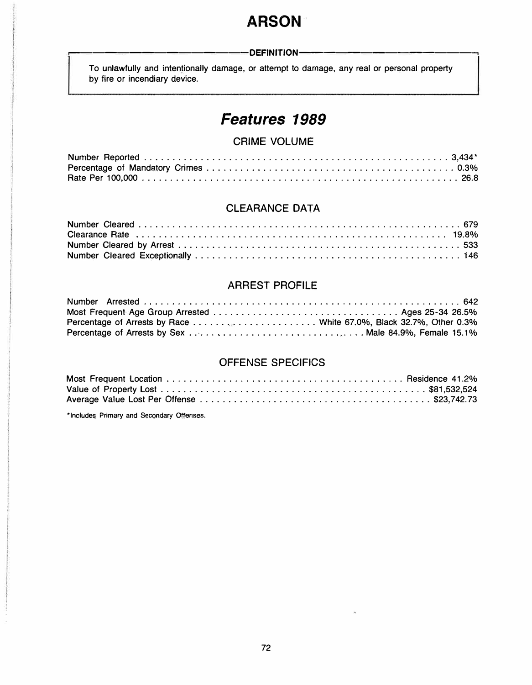# **ARSON**

#### -DEFINITION-

To unlawfully and intentionally damage, or attempt to damage, any real or personal property by fire or incendiary device.

# *Features 1989*

## **CRIME VOLUME**

#### **CLEARANCE DATA**

## **ARREST PROFILE**

## **OFFENSE SPECIFICS**

**\*Includes Primary and Secondary Offenses.**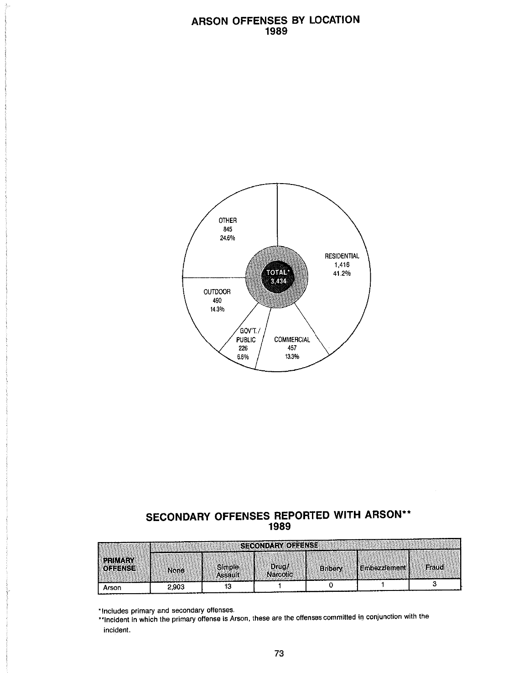#### ARSON OFFENSES BY LOCATION 1989



# SECONDARY OFFENSES REPORTED WITH ARSON\*\* 1989

|                                  | <b>SECONDARY OFFENSE</b> |                          |                           |                |              |       |  |  |
|----------------------------------|--------------------------|--------------------------|---------------------------|----------------|--------------|-------|--|--|
| <b>PRIMARY</b><br><b>CEFENSE</b> | <b>None</b>              | <b>Simple</b><br>Assault | Drua <i>f</i><br>Narcotic | <b>Bribery</b> | Embezzlement | Fraud |  |  |
| Arson                            | 2.903                    |                          |                           |                |              |       |  |  |

\*Includes primary and secondary offenses.

\*\*Incident in which the primary offense is Arson, these are the offenses committed in conjunction with the incident.